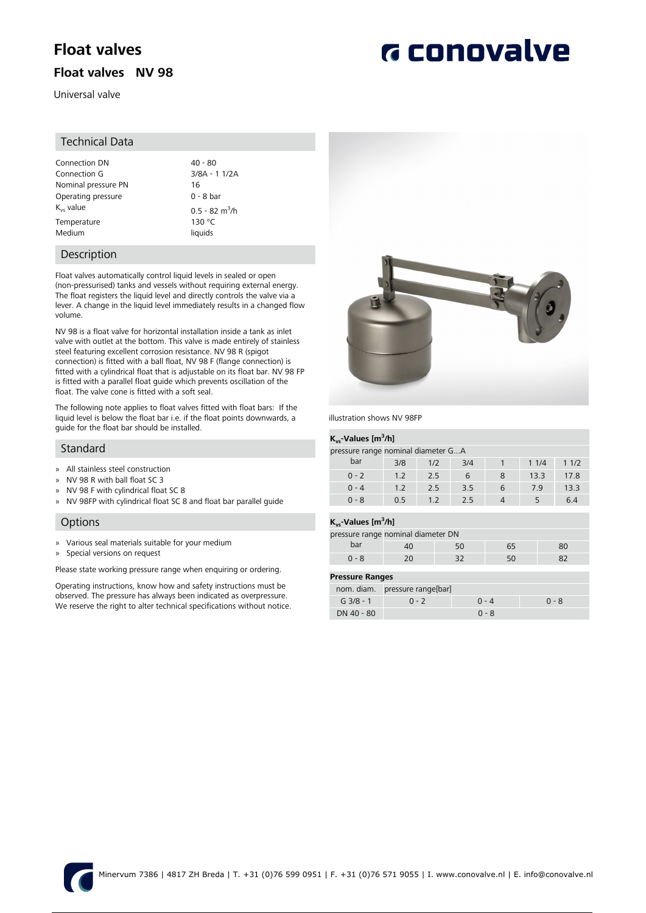# **Float valves**

## **Float valves NV 98**

Universal valve

### Technical Data

| Connection DN       | $40 - 80$                    |
|---------------------|------------------------------|
| Connection G        | $3/8A - 11/2A$               |
| Nominal pressure PN | 16                           |
| Operating pressure  | $0 - 8$ bar                  |
| $K_{vs}$ value      | $0.5 - 82$ m <sup>3</sup> /h |
| Temperature         | 130 °C                       |
| Medium              | liquids                      |

### Description

Float valves automatically control liquid levels in sealed or open (non-pressurised) tanks and vessels without requiring external energy. The float registers the liquid level and directly controls the valve via a lever. A change in the liquid level immediately results in a changed flow volume.

NV 98 is a float valve for horizontal installation inside a tank as inlet valve with outlet at the bottom. This valve is made entirely of stainless steel featuring excellent corrosion resistance. NV 98 R (spigot connection) is fitted with a ball float, NV 98 F (flange connection) is fitted with a cylindrical float that is adjustable on its float bar. NV 98 FP is fitted with a parallel float guide which prevents oscillation of the float. The valve cone is fitted with a soft seal.

The following note applies to float valves fitted with float bars: If the liquid level is below the float bar i.e. if the float points downwards, a guide for the float bar should be installed.

### Standard

- » All stainless steel construction
- » NV 98 R with ball float SC 3
- » NV 98 F with cylindrical float SC 8
- » NV 98FP with cylindrical float SC 8 and float bar parallel guide

### **Options**

- » Various seal materials suitable for your medium
- » Special versions on request

Please state working pressure range when enquiring or ordering.

Operating instructions, know how and safety instructions must be observed. The pressure has always been indicated as overpressure. We reserve the right to alter technical specifications without notice.



illustration shows NV 98FP

### **Kvs-Values [m<sup>3</sup> /h]**

| .                                  |     |                |     |   |      |      |
|------------------------------------|-----|----------------|-----|---|------|------|
| pressure range nominal diameter GA |     |                |     |   |      |      |
| bar                                | 3/8 | 1/2            | 3/4 |   | 11/4 | 11/2 |
| $0 - 2$                            | 12  | 2.5            | 6   | 8 | 13.3 | 17.8 |
| $0 - 4$                            | 12  | 2.5            | 3.5 | 6 | 7.9  | 13.3 |
| $0 - 8$                            | ሰ 5 | 1 <sub>2</sub> | 25  |   |      | 64   |

### **Kvs-Values [m<sup>3</sup> /h]**

|                        | pressure range nominal diameter DN |         |       |         |  |
|------------------------|------------------------------------|---------|-------|---------|--|
| bar                    | 40                                 | 50      | 65    | 80      |  |
| $0 - 8$                | 20                                 | 32      | 50    | 82      |  |
|                        |                                    |         |       |         |  |
| <b>Pressure Ranges</b> |                                    |         |       |         |  |
|                        | nom. diam. pressure range[bar]     |         |       |         |  |
| $G$ 3/8 - 1            | $0 - 2$                            | $0 - 4$ |       | $0 - 8$ |  |
| DN 40 - 80             |                                    |         | በ - ጸ |         |  |



# **G** conovalve